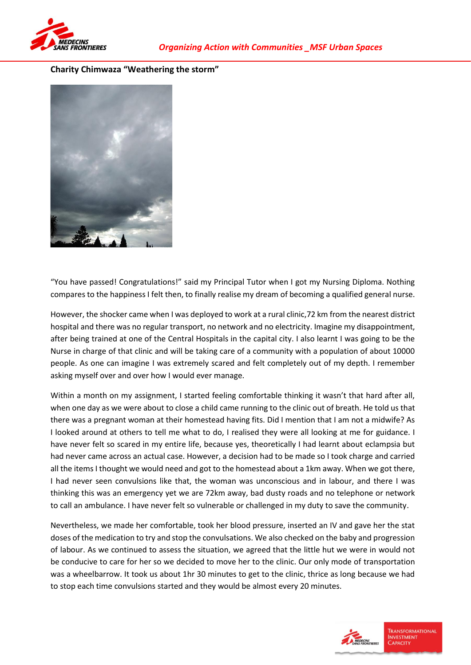

## **Charity Chimwaza "Weathering the storm"**



"You have passed! Congratulations!" said my Principal Tutor when I got my Nursing Diploma. Nothing compares to the happiness I felt then, to finally realise my dream of becoming a qualified general nurse.

However, the shocker came when I was deployed to work at a rural clinic,72 km from the nearest district hospital and there was no regular transport, no network and no electricity. Imagine my disappointment, after being trained at one of the Central Hospitals in the capital city. I also learnt I was going to be the Nurse in charge of that clinic and will be taking care of a community with a population of about 10000 people. As one can imagine I was extremely scared and felt completely out of my depth. I remember asking myself over and over how I would ever manage.

Within a month on my assignment, I started feeling comfortable thinking it wasn't that hard after all, when one day as we were about to close a child came running to the clinic out of breath. He told us that there was a pregnant woman at their homestead having fits. Did I mention that I am not a midwife? As I looked around at others to tell me what to do, I realised they were all looking at me for guidance. I have never felt so scared in my entire life, because yes, theoretically I had learnt about eclampsia but had never came across an actual case. However, a decision had to be made so I took charge and carried all the items I thought we would need and got to the homestead about a 1km away. When we got there, I had never seen convulsions like that, the woman was unconscious and in labour, and there I was thinking this was an emergency yet we are 72km away, bad dusty roads and no telephone or network to call an ambulance. I have never felt so vulnerable or challenged in my duty to save the community.

Nevertheless, we made her comfortable, took her blood pressure, inserted an IV and gave her the stat doses of the medication to try and stop the convulsations. We also checked on the baby and progression of labour. As we continued to assess the situation, we agreed that the little hut we were in would not be conducive to care for her so we decided to move her to the clinic. Our only mode of transportation was a wheelbarrow. It took us about 1hr 30 minutes to get to the clinic, thrice as long because we had to stop each time convulsions started and they would be almost every 20 minutes.